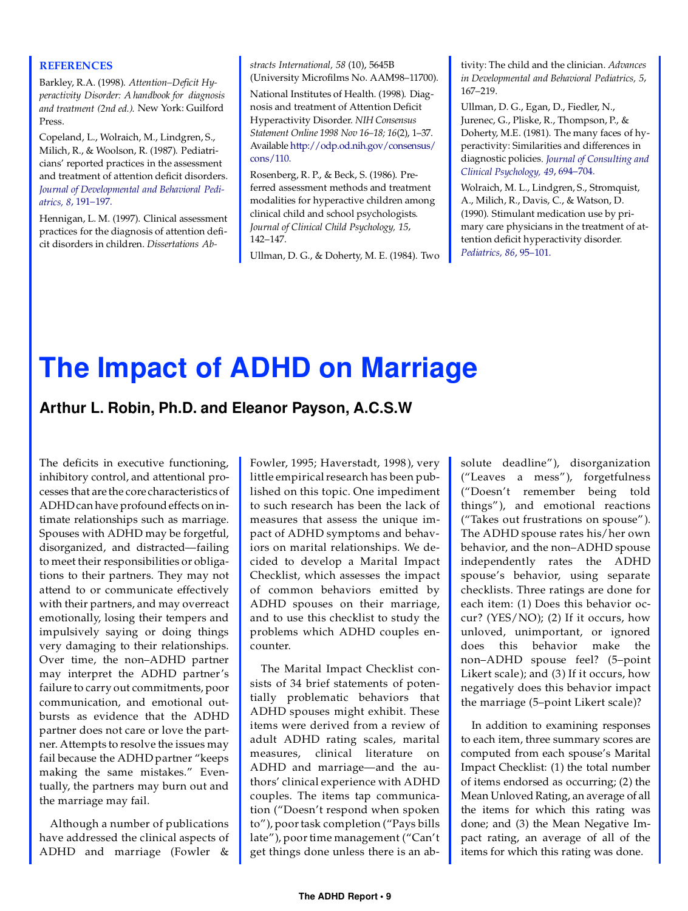#### **REFERENCES**

Barkley, R.A. (1998). *Attention–Deficit Hyperactivity Disorder: A handbook for diagnosis and treatment (2nd ed.).* New York: Guilford Press.

Copeland, L., Wolraich, M., Lindgren, S., Milich, R., & Woolson, R. (1987). Pediatricians' reported practices in the assessment and treatment of attention deficit disorders. *Journal of [Developmental](http://cherubino.ingentaselect.com/nw=1/rpsv/cgi-bin/linker?ext=a&reqidx=/0196-206X^28^298L.191[aid=2759674]) and Behavioral Pediatrics, 8*, [191–197.](http://cherubino.ingentaselect.com/nw=1/rpsv/cgi-bin/linker?ext=a&reqidx=/0196-206X^28^298L.191[aid=2759674])

Hennigan, L. M. (1997). Clinical assessment practices for the diagnosis of attention deficit disorders in children. *Dissertations Ab-* *stracts International, 58* (10), 5645B (University Microfilms No. AAM98–11700). National Institutes of Health. (1998). Diagnosis and treatment of Attention Deficit Hyperactivity Disorder. *NIH Consensus Statement Online 1998 Nov 16–18; 16*(2), 1–37. Available [http://odp.od.nih.gov/consensus/](http://odp.od.nih.gov/consensus/cons/110) [cons/110.](http://odp.od.nih.gov/consensus/cons/110)

Rosenberg, R. P., & Beck, S. (1986). Preferred assessment methods and treatment modalities for hyperactive children among clinical child and school psychologists*. Journal of Clinical Child Psychology, 15*, 142–147.

Ullman, D. G., & Doherty, M. E. (1984). Two

tivity: The child and the clinician. *Advances in Developmental and Behavioral Pediatrics, 5*, 167–219.

Ullman, D. G., Egan, D., Fiedler, N., Jurenec, G., Pliske, R., Thompson, P., & Doherty, M.E. (1981). The many faces of hyperactivity: Similarities and differences in diagnostic policies*. Journal of [Consulting](http://cherubino.ingentaselect.com/nw=1/rpsv/cgi-bin/linker?ext=a&reqidx=/0022-006X^28^2949L.694[aid=2759678]) and Clinical [Psychology,](http://cherubino.ingentaselect.com/nw=1/rpsv/cgi-bin/linker?ext=a&reqidx=/0022-006X^28^2949L.694[aid=2759678]) 49*, 694–704.

Wolraich, M. L., Lindgren, S., Stromquist, A., Milich, R., Davis, C., & Watson, D. (1990). Stimulant medication use by primary care physicians in the treatment of attention deficit hyperactivity disorder. *[Pediatrics,](http://cherubino.ingentaselect.com/nw=1/rpsv/cgi-bin/linker?ext=a&reqidx=/0031-4005^28^2986L.95[aid=2759679]) 86*, 95–101.

# **The Impact of ADHD on Marriage**

## **Arthur L. Robin, Ph.D. and Eleanor Payson, A.C.S.W**

The deficits in executive functioning, inhibitory control, and attentional processes that are the core characteristics of ADHDcan have profoundeffects on intimate relationships such as marriage. Spouses with ADHD may be forgetful, disorganized, and distracted—failing to meet their responsibilities or obligations to their partners. They may not attend to or communicate effectively with their partners, and may overreact emotionally, losing their tempers and impulsively saying or doing things very damaging to their relationships. Over time, the non–ADHD partner may interpret the ADHD partner's failure to carry out commitments, poor communication, and emotional outbursts as evidence that the ADHD partner does not care or love the partner. Attempts to resolve the issues may fail because the ADHD partner "keeps making the same mistakes." Eventually, the partners may burn out and the marriage may fail.

Although a number of publications have addressed the clinical aspects of ADHD and marriage (Fowler &

Fowler, 1995; Haverstadt, 1998 ), very little empirical research has been published on this topic. One impediment to such research has been the lack of measures that assess the unique impact of ADHD symptoms and behaviors on marital relationships. We decided to develop a Marital Impact Checklist, which assesses the impact of common behaviors emitted by ADHD spouses on their marriage, and to use this checklist to study the problems which ADHD couples encounter.

The Marital Impact Checklist consists of 34 brief statements of potentially problematic behaviors that ADHD spouses might exhibit. These items were derived from a review of adult ADHD rating scales, marital measures, clinical literature on ADHD and marriage—and the authors' clinical experience with ADHD couples. The items tap communication ("Doesn't respond when spoken to"), poor task completion ("Pays bills late"), poor time management ("Can't get things done unless there is an absolute deadline"), disorganization ("Leaves a mess"), forgetfulness ("Doesn't remember being told things" ), and emotional reactions ("Takes out frustrations on spouse"). The ADHD spouse rates his/her own behavior, and the non–ADHD spouse independently rates the ADHD spouse's behavior, using separate checklists. Three ratings are done for each item: (1) Does this behavior occur? (YES/NO); (2) If it occurs, how unloved, unimportant, or ignored does this behavior make the non–ADHD spouse feel? (5–point Likert scale); and (3) If it occurs, how negatively does this behavior impact the marriage (5–point Likert scale)?

In addition to examining responses to each item, three summary scores are computed from each spouse's Marital Impact Checklist: (1) the total number of items endorsed as occurring; (2) the Mean Unloved Rating, an average of all the items for which this rating was done; and (3) the Mean Negative Impact rating, an average of all of the items for which this rating was done.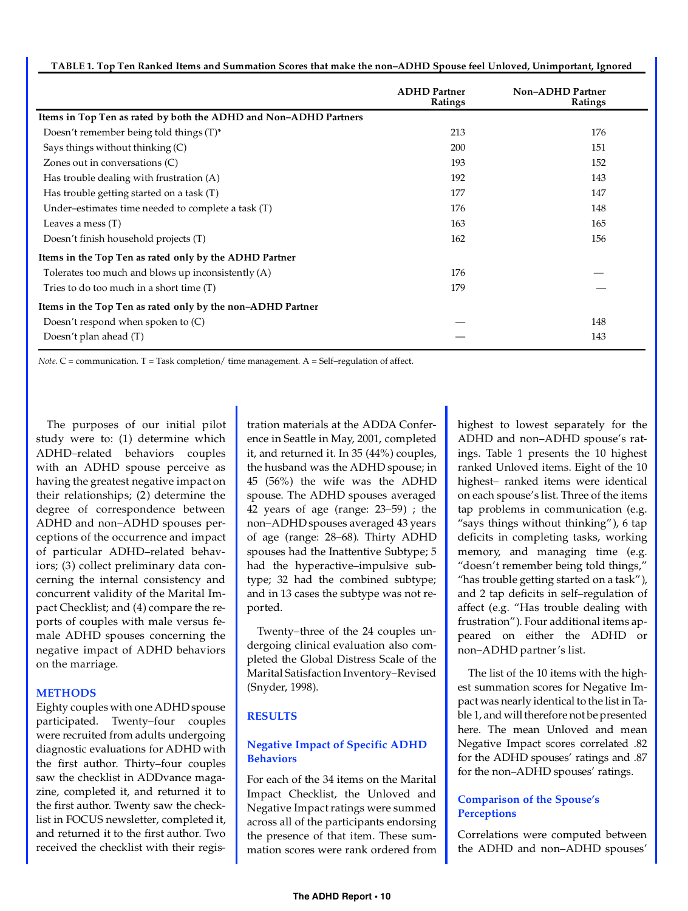| TABLE 1. Top Ten Ranked Items and Summation Scores that make the non-ADHD Spouse feel Unloved, Unimportant, Ignored |  |
|---------------------------------------------------------------------------------------------------------------------|--|
|---------------------------------------------------------------------------------------------------------------------|--|

|                                                                  | <b>ADHD Partner</b> | <b>Non-ADHD Partner</b> |
|------------------------------------------------------------------|---------------------|-------------------------|
|                                                                  | <b>Ratings</b>      | Ratings                 |
| Items in Top Ten as rated by both the ADHD and Non-ADHD Partners |                     |                         |
| Doesn't remember being told things (T)*                          | 213                 | 176                     |
| Says things without thinking $(C)$                               | 200                 | 151                     |
| Zones out in conversations (C)                                   | 193                 | 152                     |
| Has trouble dealing with frustration (A)                         | 192                 | 143                     |
| Has trouble getting started on a task (T)                        | 177                 | 147                     |
| Under-estimates time needed to complete a task (T)               | 176                 | 148                     |
| Leaves a mess $(T)$                                              | 163                 | 165                     |
| Doesn't finish household projects (T)                            | 162                 | 156                     |
| Items in the Top Ten as rated only by the ADHD Partner           |                     |                         |
| Tolerates too much and blows up inconsistently (A)               | 176                 |                         |
| Tries to do too much in a short time (T)                         | 179                 |                         |
| Items in the Top Ten as rated only by the non-ADHD Partner       |                     |                         |
| Doesn't respond when spoken to (C)                               |                     | 148                     |
| Doesn't plan ahead (T)                                           |                     | 143                     |
|                                                                  |                     |                         |

*Note.* C = communication. T = Task completion/ time management. A = Self-regulation of affect.

The purposes of our initial pilot study were to: (1) determine which ADHD–related behaviors couples with an ADHD spouse perceive as having the greatest negative impact on their relationships; (2) determine the degree of correspondence between ADHD and non–ADHD spouses perceptions of the occurrence and impact of particular ADHD–related behaviors; (3) collect preliminary data concerning the internal consistency and concurrent validity of the Marital Impact Checklist; and (4) compare the reports of couples with male versus female ADHD spouses concerning the negative impact of ADHD behaviors on the marriage.

#### **METHODS**

Eighty couples with one ADHD spouse participated. Twenty–four couples were recruited from adults undergoing diagnostic evaluations for ADHD with the first author. Thirty–four couples saw the checklist in ADDvance magazine, completed it, and returned it to the first author. Twenty saw the checklist in FOCUS newsletter, completed it, and returned it to the first author. Two received the checklist with their registration materials at the ADDA Conference in Seattle in May, 2001, completed it, and returned it.In 35 (44%) couples, the husband was the ADHD spouse; in 45 (56%) the wife was the ADHD spouse. The ADHD spouses averaged 42 years of age (range: 23–59) ; the non-ADHD spouses averaged 43 years of age (range: 28–68). Thirty ADHD spouses had the Inattentive Subtype; 5 had the hyperactive–impulsive subtype; 32 had the combined subtype; and in 13 cases the subtype was not reported.

Twenty–three of the 24 couples un dergoing clinical evaluation also completed the Global Distress Scale of the Marital Satisfaction Inventory–Revised (Snyder, 1998).

#### **RESULTS**

#### **Negative Impact of Specific ADHD Behaviors**

For each of the 34 items on the Marital Impact Checklist, the Unloved and Negative Impactratings were summed across all of the participants endorsing the presence of that item. These summation scores were rank ordered from highest to lowest separately for the ADHD and non–ADHD spouse's ratings. Table 1 presents the 10 highest ranked Unloved items. Eight of the 10 highest– ranked items were identical on each spouse's list. Three of the items tap problems in communication (e.g. "says things without thinking"), 6 tap deficits in completing tasks, working memory, and managing time (e.g. "doesn't remember being told things," "has trouble getting started on a task"), and 2 tap deficits in self–regulation of affect (e.g. "Has trouble dealing with frustration"). Four additional items appeared on either the ADHD or non–ADHD partner's list.

The list of the 10 items with the highest summation scores for Negative Impact was nearly identical to the list inTa ble 1, and will therefore not be presented here. The mean Unloved and mean Negative Impact scores correlated .82 for the ADHD spouses' ratings and .87 for the non–ADHD spouses' ratings.

#### **Comparison of the Spouse's Perceptions**

Correlations were computed between the ADHD and non–ADHD spouses'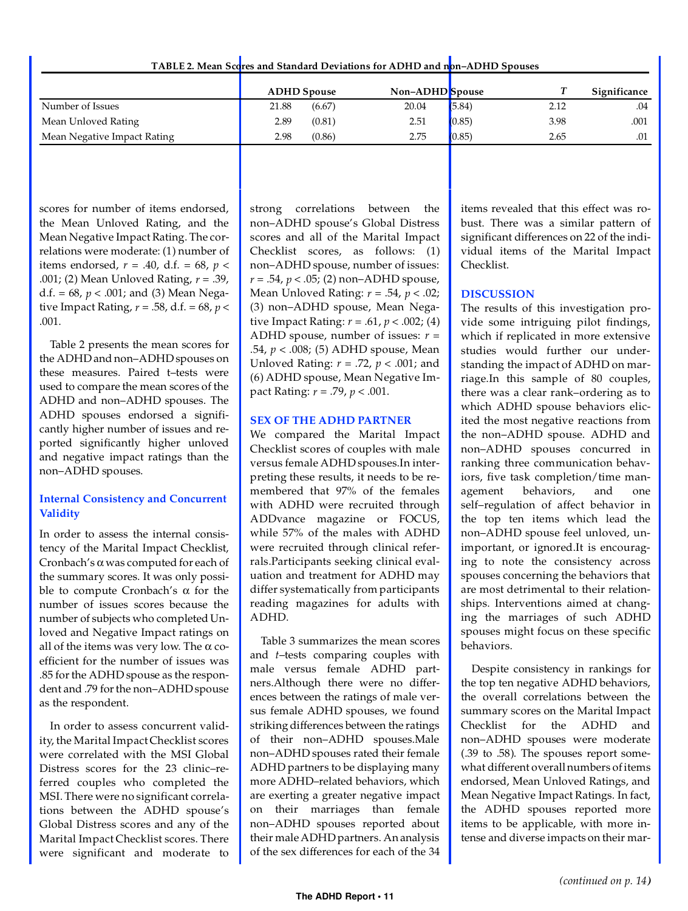|                             |       | <b>ADHD</b> Spouse | Non-ADHD Spouse |        |      | Significance |
|-----------------------------|-------|--------------------|-----------------|--------|------|--------------|
| Number of Issues            | 21.88 | (6.67)             | 20.04           | (5.84) | 2.12 | .04          |
| Mean Unloved Rating         | 2.89  | (0.81)             | 2.51            | (0.85) | 3.98 | .001         |
| Mean Negative Impact Rating | 2.98  | (0.86)             | 2.75            | (0.85) | 2.65 | .01          |

scores for number of items endorsed, the Mean Unloved Rating, and the Mean Negative Impact Rating. The correlations were moderate: (1) number of items endorsed,  $r = .40$ , d.f. = 68,  $p <$ .001; (2) Mean Unloved Rating, *r* = .39, d.f. = 68, *p* < .001; and (3) Mean Negative Impact Rating, *r* = .58, d.f. = 68, *p* < .001.

Table 2 presents the mean scores for the ADHDand non–ADHDspouses on these measures. Paired t–tests were used to compare the mean scores of the ADHD and non–ADHD spouses. The ADHD spouses endorsed a significantly higher number of issues and reported significantly higher unloved and negative impact ratings than the non–ADHD spouses.

#### **Internal Consistency and Concurrent Validity**

In order to assess the internal consistency of the Marital Impact Checklist, Cronbach's  $\alpha$  was computed for each of the summary scores. It was only possible to compute Cronbach's  $\alpha$  for the number of issues scores because the number of subjects who completed Unloved and Negative Impact ratings on all of the items was very low. The  $\alpha$  coefficient for the number of issues was .85 forthe ADHD spouse as the respondent and .79 for the non-ADHD spouse as the respondent.

In order to assess concurrent validity, the Marital Impact Checklist scores were correlated with the MSI Global Distress scores for the 23 clinic–referred couples who completed the MSI. There were no significant correlations between the ADHD spouse's Global Distress scores and any of the Marital Impact Checklist scores. There were significant and moderate to strong correlations between the non–ADHD spouse's Global Distress scores and all of the Marital Impact Checklist scores, as follows: (1) non–ADHD spouse, number of issues: *r* = .54, *p* < .05; (2) non–ADHD spouse, Mean Unloved Rating: *r* = .54, *p* < .02; (3) non–ADHD spouse, Mean Negative Impact Rating:  $r = .61$ ,  $p < .002$ ; (4) ADHD spouse, number of issues:  $r =$ .54, *p* < .008; (5) ADHD spouse, Mean Unloved Rating: *r* = .72, *p* < .001; and (6) ADHD spouse, Mean Negative Impact Rating: *r* = .79, *p* < .001.

#### **SEX OF THE ADHD PARTNER**

We compared the Marital Impact Checklist scores of couples with male versus female ADHD spouses.In interpreting these results, it needs to be remembered that 97% of the females with ADHD were recruited through ADDvance magazine or FOCUS, while 57% of the males with ADHD were recruited through clinical referrals.Participants seeking clinical evaluation and treatment for ADHD may differ systematically from participants reading magazines for adults with ADHD.

Table 3 summarizes the mean scores and *t*–tests comparing couples with male versus female ADHD partners.Although there were no differences between the ratings of male versus female ADHD spouses, we found striking differences between the ratings of their non–ADHD spouses.Male non–ADHD spouses rated their female ADHD partners to be displaying many more ADHD–related behaviors, which are exerting a greater negative impact on their marriages than female non–ADHD spouses reported about their male ADHD partners. An analysis of the sex differences for each of the 34

items revealed that this effect was robust. There was a similar pattern of significant differences on 22 of the individual items of the Marital Impact Checklist.

### **DISCUSSION**

The results of this investigation provide some intriguing pilot findings, which if replicated in more extensive studies would further our understanding the impact of ADHD on marriage.In this sample of 80 couples, there was a clear rank–ordering as to which ADHD spouse behaviors elicited the most negative reactions from the non–ADHD spouse. ADHD and non–ADHD spouses concurred in ranking three communication behaviors, five task completion/time man agement behaviors, and one self–regulation of affect behavior in the top ten items which lead the non–ADHD spouse feel unloved, unimportant, or ignored.It is encouraging to note the consistency across spouses concerning the behaviors that are most detrimental to their relationships. Interventions aimed at changing the marriages of such ADHD spouses might focus on these specific behaviors.

Despite consistency in rankings for the top ten negative ADHD behaviors, the overall correlations between the summary scores on the Marital Impact Checklist for the ADHD and non–ADHD spouses were moderate (.39 to .58). The spouses report somewhat different overall numbers of items endorsed, Mean Unloved Ratings, and Mean Negative Impact Ratings. In fact, the ADHD spouses reported more items to be applicable, with more intense and diverse impacts on their mar-